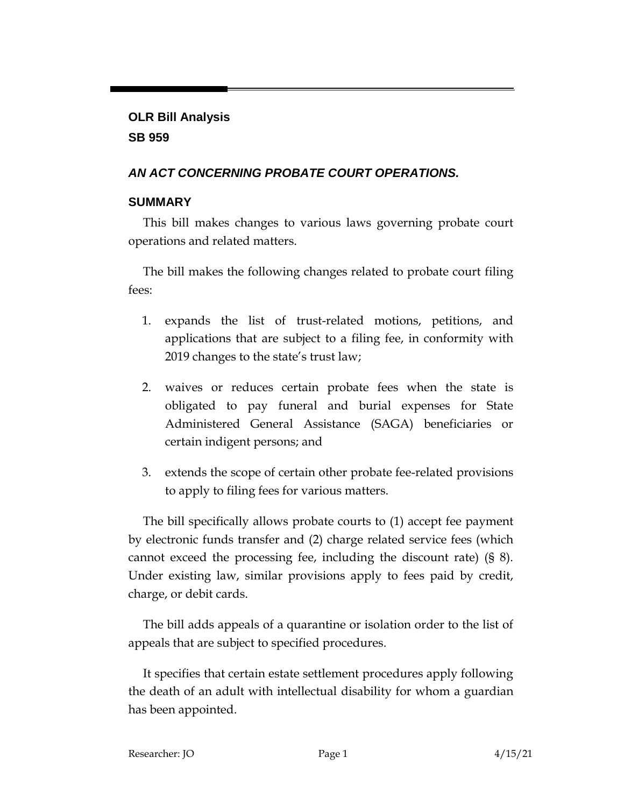# **OLR Bill Analysis SB 959**

# *AN ACT CONCERNING PROBATE COURT OPERATIONS.*

# **SUMMARY**

This bill makes changes to various laws governing probate court operations and related matters.

The bill makes the following changes related to probate court filing fees:

- 1. expands the list of trust-related motions, petitions, and applications that are subject to a filing fee, in conformity with 2019 changes to the state's trust law;
- 2. waives or reduces certain probate fees when the state is obligated to pay funeral and burial expenses for State Administered General Assistance (SAGA) beneficiaries or certain indigent persons; and
- 3. extends the scope of certain other probate fee-related provisions to apply to filing fees for various matters.

The bill specifically allows probate courts to (1) accept fee payment by electronic funds transfer and (2) charge related service fees (which cannot exceed the processing fee, including the discount rate) (§ 8). Under existing law, similar provisions apply to fees paid by credit, charge, or debit cards.

The bill adds appeals of a quarantine or isolation order to the list of appeals that are subject to specified procedures.

It specifies that certain estate settlement procedures apply following the death of an adult with intellectual disability for whom a guardian has been appointed.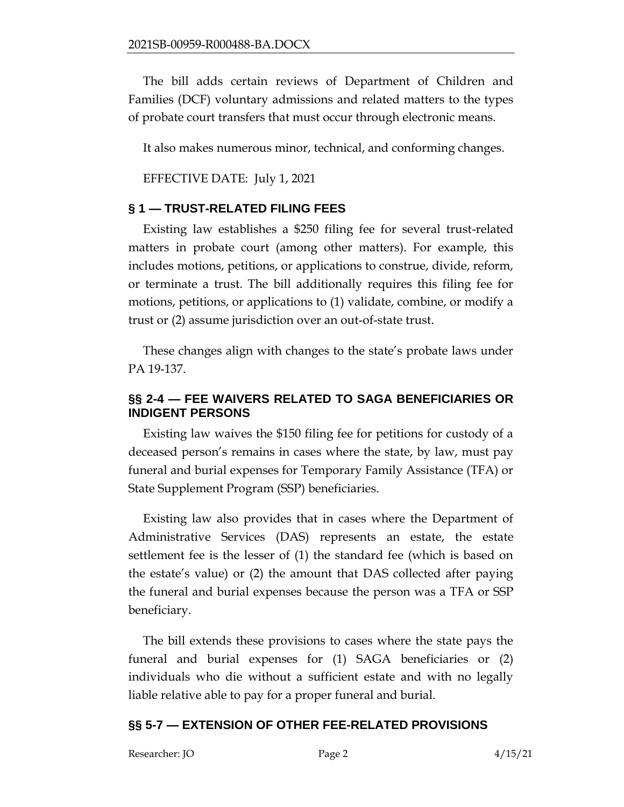The bill adds certain reviews of Department of Children and Families (DCF) voluntary admissions and related matters to the types of probate court transfers that must occur through electronic means.

It also makes numerous minor, technical, and conforming changes.

EFFECTIVE DATE: July 1, 2021

#### **§ 1 — TRUST-RELATED FILING FEES**

Existing law establishes a \$250 filing fee for several trust-related matters in probate court (among other matters). For example, this includes motions, petitions, or applications to construe, divide, reform, or terminate a trust. The bill additionally requires this filing fee for motions, petitions, or applications to (1) validate, combine, or modify a trust or (2) assume jurisdiction over an out-of-state trust.

These changes align with changes to the state's probate laws under PA 19-137.

### **§§ 2-4 — FEE WAIVERS RELATED TO SAGA BENEFICIARIES OR INDIGENT PERSONS**

Existing law waives the \$150 filing fee for petitions for custody of a deceased person's remains in cases where the state, by law, must pay funeral and burial expenses for Temporary Family Assistance (TFA) or State Supplement Program (SSP) beneficiaries.

Existing law also provides that in cases where the Department of Administrative Services (DAS) represents an estate, the estate settlement fee is the lesser of (1) the standard fee (which is based on the estate's value) or (2) the amount that DAS collected after paying the funeral and burial expenses because the person was a TFA or SSP beneficiary.

The bill extends these provisions to cases where the state pays the funeral and burial expenses for (1) SAGA beneficiaries or (2) individuals who die without a sufficient estate and with no legally liable relative able to pay for a proper funeral and burial.

#### **§§ 5-7 — EXTENSION OF OTHER FEE-RELATED PROVISIONS**

Researcher: JO Page 2 4/15/21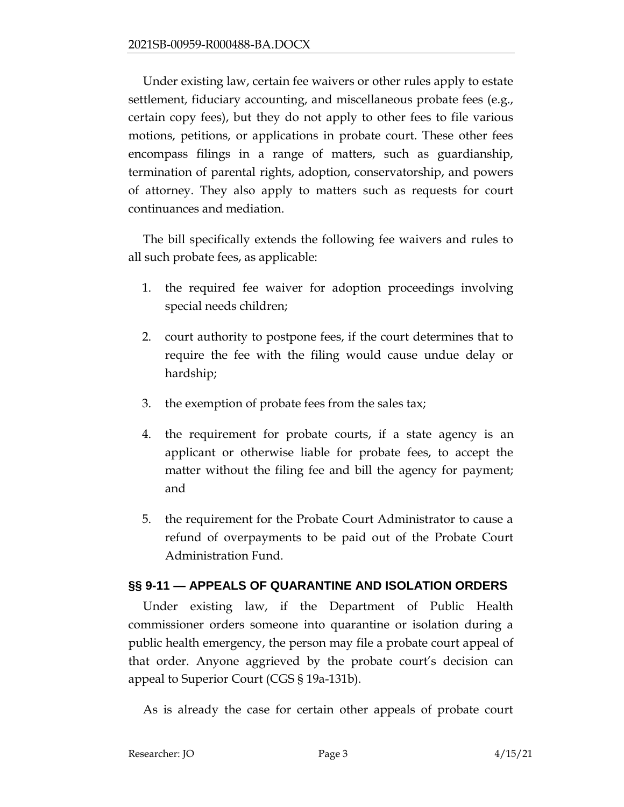Under existing law, certain fee waivers or other rules apply to estate settlement, fiduciary accounting, and miscellaneous probate fees (e.g., certain copy fees), but they do not apply to other fees to file various motions, petitions, or applications in probate court. These other fees encompass filings in a range of matters, such as guardianship, termination of parental rights, adoption, conservatorship, and powers of attorney. They also apply to matters such as requests for court continuances and mediation.

The bill specifically extends the following fee waivers and rules to all such probate fees, as applicable:

- 1. the required fee waiver for adoption proceedings involving special needs children;
- 2. court authority to postpone fees, if the court determines that to require the fee with the filing would cause undue delay or hardship;
- 3. the exemption of probate fees from the sales tax;
- 4. the requirement for probate courts, if a state agency is an applicant or otherwise liable for probate fees, to accept the matter without the filing fee and bill the agency for payment; and
- 5. the requirement for the Probate Court Administrator to cause a refund of overpayments to be paid out of the Probate Court Administration Fund.

## **§§ 9-11 — APPEALS OF QUARANTINE AND ISOLATION ORDERS**

Under existing law, if the Department of Public Health commissioner orders someone into quarantine or isolation during a public health emergency, the person may file a probate court appeal of that order. Anyone aggrieved by the probate court's decision can appeal to Superior Court (CGS § 19a-131b).

As is already the case for certain other appeals of probate court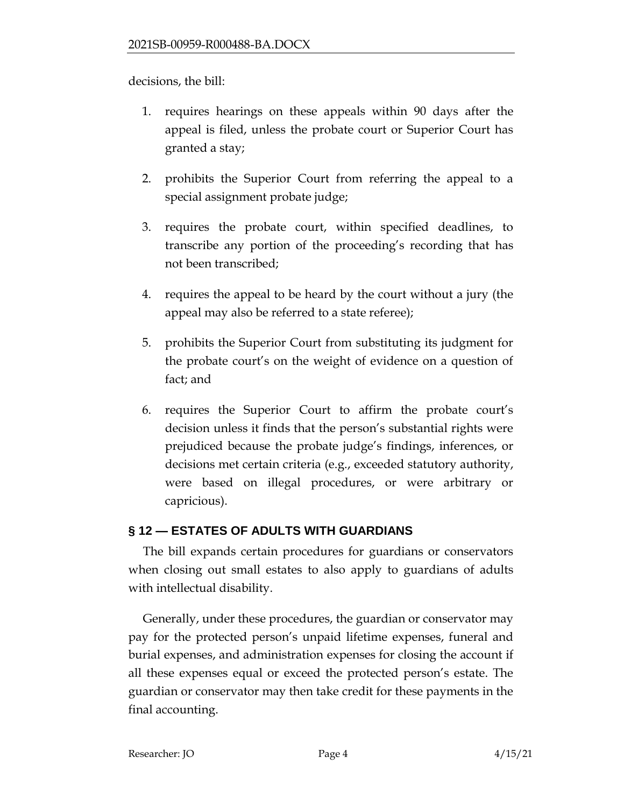decisions, the bill:

- 1. requires hearings on these appeals within 90 days after the appeal is filed, unless the probate court or Superior Court has granted a stay;
- 2. prohibits the Superior Court from referring the appeal to a special assignment probate judge;
- 3. requires the probate court, within specified deadlines, to transcribe any portion of the proceeding's recording that has not been transcribed;
- 4. requires the appeal to be heard by the court without a jury (the appeal may also be referred to a state referee);
- 5. prohibits the Superior Court from substituting its judgment for the probate court's on the weight of evidence on a question of fact; and
- 6. requires the Superior Court to affirm the probate court's decision unless it finds that the person's substantial rights were prejudiced because the probate judge's findings, inferences, or decisions met certain criteria (e.g., exceeded statutory authority, were based on illegal procedures, or were arbitrary or capricious).

## **§ 12 — ESTATES OF ADULTS WITH GUARDIANS**

The bill expands certain procedures for guardians or conservators when closing out small estates to also apply to guardians of adults with intellectual disability.

Generally, under these procedures, the guardian or conservator may pay for the protected person's unpaid lifetime expenses, funeral and burial expenses, and administration expenses for closing the account if all these expenses equal or exceed the protected person's estate. The guardian or conservator may then take credit for these payments in the final accounting.